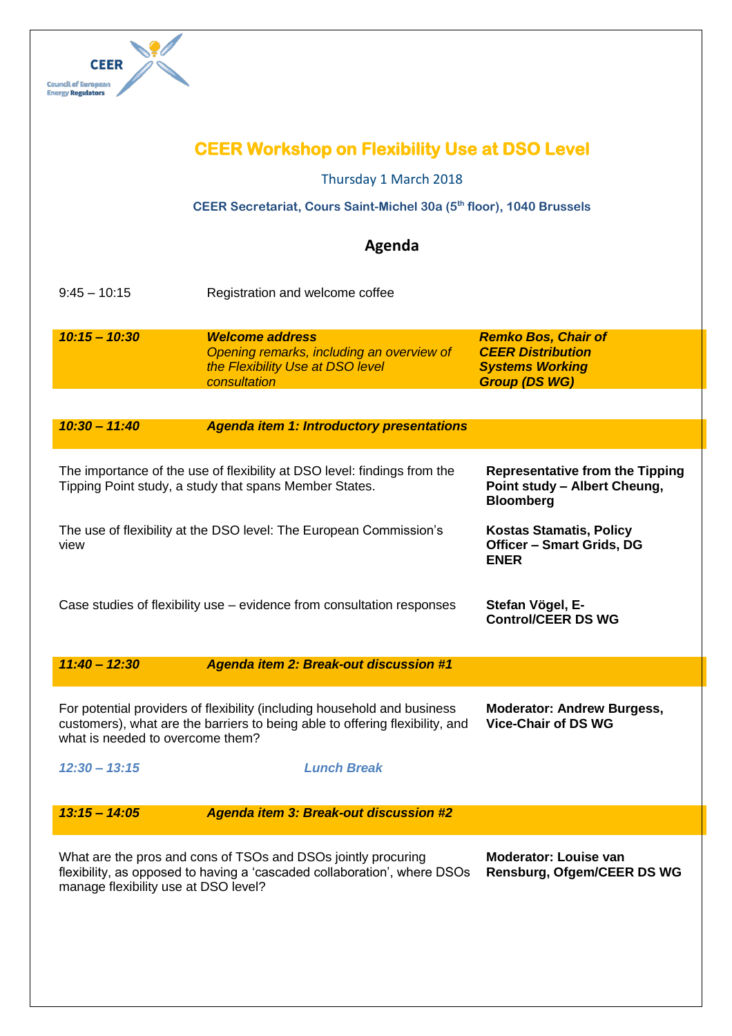

| <b>Council of European</b><br><b>Inergy Regulators</b>                                                                                                                                                                                                          |                                                                                                                         |                                                                                                          |  |
|-----------------------------------------------------------------------------------------------------------------------------------------------------------------------------------------------------------------------------------------------------------------|-------------------------------------------------------------------------------------------------------------------------|----------------------------------------------------------------------------------------------------------|--|
| <b>CEER Workshop on Flexibility Use at DSO Level</b>                                                                                                                                                                                                            |                                                                                                                         |                                                                                                          |  |
| Thursday 1 March 2018                                                                                                                                                                                                                                           |                                                                                                                         |                                                                                                          |  |
| CEER Secretariat, Cours Saint-Michel 30a (5th floor), 1040 Brussels                                                                                                                                                                                             |                                                                                                                         |                                                                                                          |  |
|                                                                                                                                                                                                                                                                 | Agenda                                                                                                                  |                                                                                                          |  |
| $9:45 - 10:15$                                                                                                                                                                                                                                                  | Registration and welcome coffee                                                                                         |                                                                                                          |  |
| $10:15 - 10:30$                                                                                                                                                                                                                                                 | <b>Welcome address</b><br>Opening remarks, including an overview of<br>the Flexibility Use at DSO level<br>consultation | <b>Remko Bos, Chair of</b><br><b>CEER Distribution</b><br><b>Systems Working</b><br><b>Group (DS WG)</b> |  |
|                                                                                                                                                                                                                                                                 |                                                                                                                         |                                                                                                          |  |
| $10:30 - 11:40$                                                                                                                                                                                                                                                 | <b>Agenda item 1: Introductory presentations</b>                                                                        |                                                                                                          |  |
| The importance of the use of flexibility at DSO level: findings from the<br>Tipping Point study, a study that spans Member States.                                                                                                                              |                                                                                                                         | <b>Representative from the Tipping</b><br>Point study - Albert Cheung,<br><b>Bloomberg</b>               |  |
| The use of flexibility at the DSO level: The European Commission's<br>view                                                                                                                                                                                      |                                                                                                                         | <b>Kostas Stamatis, Policy</b><br><b>Officer - Smart Grids, DG</b><br><b>ENER</b>                        |  |
| Case studies of flexibility use – evidence from consultation responses                                                                                                                                                                                          |                                                                                                                         | Stefan Vögel, E-<br><b>Control/CEER DS WG</b>                                                            |  |
| $11:40 - 12:30$                                                                                                                                                                                                                                                 | <b>Agenda item 2: Break-out discussion #1</b>                                                                           |                                                                                                          |  |
| For potential providers of flexibility (including household and business<br><b>Moderator: Andrew Burgess,</b><br>customers), what are the barriers to being able to offering flexibility, and<br><b>Vice-Chair of DS WG</b><br>what is needed to overcome them? |                                                                                                                         |                                                                                                          |  |
| $12:30 - 13:15$                                                                                                                                                                                                                                                 | <b>Lunch Break</b>                                                                                                      |                                                                                                          |  |
| $13:15 - 14:05$                                                                                                                                                                                                                                                 | <b>Agenda item 3: Break-out discussion #2</b>                                                                           |                                                                                                          |  |
| <b>Moderator: Louise van</b><br>What are the pros and cons of TSOs and DSOs jointly procuring<br>flexibility, as opposed to having a 'cascaded collaboration', where DSOs<br><b>Rensburg, Ofgem/CEER DS WG</b><br>manage flexibility use at DSO level?          |                                                                                                                         |                                                                                                          |  |